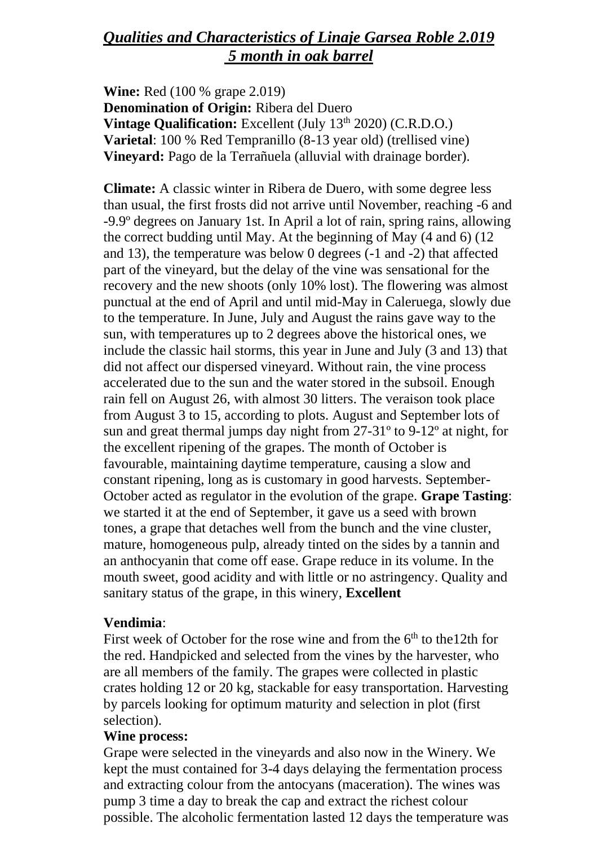# *Qualities and Characteristics of Linaje Garsea Roble 2.019 5 month in oak barrel*

**Wine:** Red (100 % grape 2.019) **Denomination of Origin:** Ribera del Duero **Vintage Qualification:** Excellent (July 13<sup>th</sup> 2020) (C.R.D.O.) **Varietal**: 100 % Red Tempranillo (8-13 year old) (trellised vine) **Vineyard:** Pago de la Terrañuela (alluvial with drainage border).

**Climate:** A classic winter in Ribera de Duero, with some degree less than usual, the first frosts did not arrive until November, reaching -6 and -9.9º degrees on January 1st. In April a lot of rain, spring rains, allowing the correct budding until May. At the beginning of May (4 and 6) (12 and 13), the temperature was below 0 degrees (-1 and -2) that affected part of the vineyard, but the delay of the vine was sensational for the recovery and the new shoots (only 10% lost). The flowering was almost punctual at the end of April and until mid-May in Caleruega, slowly due to the temperature. In June, July and August the rains gave way to the sun, with temperatures up to 2 degrees above the historical ones, we include the classic hail storms, this year in June and July (3 and 13) that did not affect our dispersed vineyard. Without rain, the vine process accelerated due to the sun and the water stored in the subsoil. Enough rain fell on August 26, with almost 30 litters. The veraison took place from August 3 to 15, according to plots. August and September lots of sun and great thermal jumps day night from 27-31º to 9-12º at night, for the excellent ripening of the grapes. The month of October is favourable, maintaining daytime temperature, causing a slow and constant ripening, long as is customary in good harvests. September-October acted as regulator in the evolution of the grape. **Grape Tasting**: we started it at the end of September, it gave us a seed with brown tones, a grape that detaches well from the bunch and the vine cluster, mature, homogeneous pulp, already tinted on the sides by a tannin and an anthocyanin that come off ease. Grape reduce in its volume. In the mouth sweet, good acidity and with little or no astringency. Quality and sanitary status of the grape, in this winery, **Excellent**

### **Vendimia**:

First week of October for the rose wine and from the  $6<sup>th</sup>$  to the 12th for the red. Handpicked and selected from the vines by the harvester, who are all members of the family. The grapes were collected in plastic crates holding 12 or 20 kg, stackable for easy transportation. Harvesting by parcels looking for optimum maturity and selection in plot (first selection).

### **Wine process:**

Grape were selected in the vineyards and also now in the Winery. We kept the must contained for 3-4 days delaying the fermentation process and extracting colour from the antocyans (maceration). The wines was pump 3 time a day to break the cap and extract the richest colour possible. The alcoholic fermentation lasted 12 days the temperature was